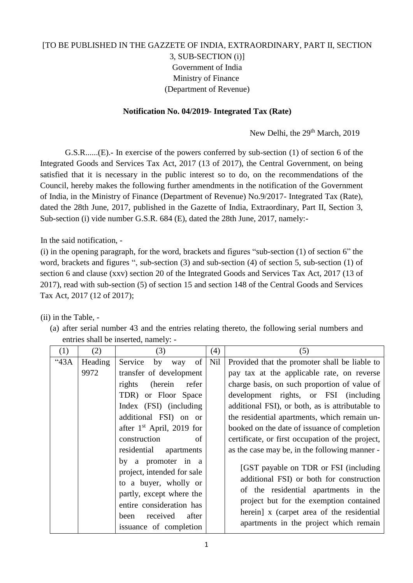## [TO BE PUBLISHED IN THE GAZZETE OF INDIA, EXTRAORDINARY, PART II, SECTION 3, SUB-SECTION (i)] Government of India Ministry of Finance (Department of Revenue)

## **Notification No. 04/2019- Integrated Tax (Rate)**

New Delhi, the 29<sup>th</sup> March, 2019

G.S.R......(E).- In exercise of the powers conferred by sub-section (1) of section 6 of the Integrated Goods and Services Tax Act, 2017 (13 of 2017), the Central Government, on being satisfied that it is necessary in the public interest so to do, on the recommendations of the Council, hereby makes the following further amendments in the notification of the Government of India, in the Ministry of Finance (Department of Revenue) No.9/2017- Integrated Tax (Rate), dated the 28th June, 2017, published in the Gazette of India, Extraordinary, Part II, Section 3, Sub-section (i) vide number G.S.R. 684 (E), dated the 28th June, 2017, namely:-

In the said notification, -

(i) in the opening paragraph, for the word, brackets and figures "sub-section (1) of section 6" the word, brackets and figures ", sub-section (3) and sub-section (4) of section 5, sub-section (1) of section 6 and clause (xxv) section 20 of the Integrated Goods and Services Tax Act, 2017 (13 of 2017), read with sub-section (5) of section 15 and section 148 of the Central Goods and Services Tax Act, 2017 (12 of 2017);

(ii) in the Table, -

(a) after serial number 43 and the entries relating thereto, the following serial numbers and entries shall be inserted, namely: -

| (1) | (2)     | (3)                                                                                                                                                                                      | (4) | (5)                                                                                                                                                                                                                                                          |
|-----|---------|------------------------------------------------------------------------------------------------------------------------------------------------------------------------------------------|-----|--------------------------------------------------------------------------------------------------------------------------------------------------------------------------------------------------------------------------------------------------------------|
| 43A | Heading | of <sub>1</sub><br>Service<br>by<br>way                                                                                                                                                  | Nil | Provided that the promoter shall be liable to                                                                                                                                                                                                                |
|     | 9972    | transfer of development                                                                                                                                                                  |     | pay tax at the applicable rate, on reverse                                                                                                                                                                                                                   |
|     |         | rights<br>(herein<br>refer                                                                                                                                                               |     | charge basis, on such proportion of value of                                                                                                                                                                                                                 |
|     |         | TDR) or Floor Space                                                                                                                                                                      |     | development rights, or FSI (including                                                                                                                                                                                                                        |
|     |         | Index (FSI) (including                                                                                                                                                                   |     | additional FSI), or both, as is attributable to                                                                                                                                                                                                              |
|     |         | additional FSI) on or                                                                                                                                                                    |     | the residential apartments, which remain un-                                                                                                                                                                                                                 |
|     |         | after $1st$ April, 2019 for                                                                                                                                                              |     | booked on the date of issuance of completion                                                                                                                                                                                                                 |
|     |         | construction<br>of                                                                                                                                                                       |     | certificate, or first occupation of the project,                                                                                                                                                                                                             |
|     |         | residential<br>apartments                                                                                                                                                                |     | as the case may be, in the following manner -                                                                                                                                                                                                                |
|     |         | by a promoter in a<br>project, intended for sale<br>to a buyer, wholly or<br>partly, except where the<br>entire consideration has<br>received<br>after<br>been<br>issuance of completion |     | [GST payable on TDR or FSI (including)<br>additional FSI) or both for construction<br>of the residential apartments in the<br>project but for the exemption contained<br>herein] x (carpet area of the residential<br>apartments in the project which remain |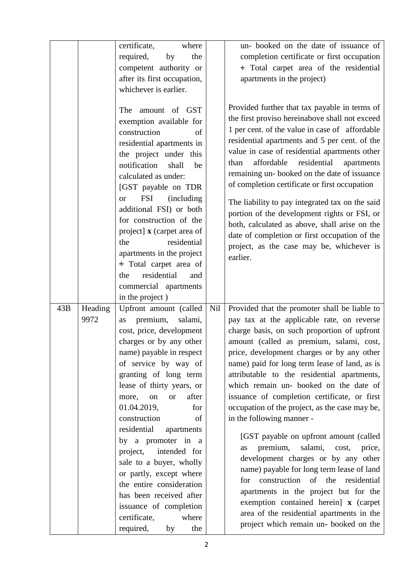|     |         | certificate,<br>where                           |     | un-booked on the date of issuance of                                                            |
|-----|---------|-------------------------------------------------|-----|-------------------------------------------------------------------------------------------------|
|     |         | required,<br>by<br>the                          |     | completion certificate or first occupation                                                      |
|     |         | competent authority or                          |     | : Total carpet area of the residential                                                          |
|     |         | after its first occupation,                     |     | apartments in the project)                                                                      |
|     |         | whichever is earlier.                           |     |                                                                                                 |
|     |         |                                                 |     |                                                                                                 |
|     |         | amount of GST<br>The                            |     | Provided further that tax payable in terms of<br>the first proviso hereinabove shall not exceed |
|     |         | exemption available for                         |     |                                                                                                 |
|     |         | construction<br>of                              |     | 1 per cent. of the value in case of affordable                                                  |
|     |         | residential apartments in                       |     | residential apartments and 5 per cent. of the                                                   |
|     |         | the project under this                          |     | value in case of residential apartments other                                                   |
|     |         | notification<br>shall<br>be                     |     | affordable<br>residential<br>than<br>apartments                                                 |
|     |         | calculated as under:                            |     | remaining un-booked on the date of issuance                                                     |
|     |         | [GST payable on TDR                             |     | of completion certificate or first occupation                                                   |
|     |         | <b>FSI</b><br>(including)<br><b>or</b>          |     | The liability to pay integrated tax on the said                                                 |
|     |         | additional FSI) or both                         |     | portion of the development rights or FSI, or                                                    |
|     |         | for construction of the                         |     | both, calculated as above, shall arise on the                                                   |
|     |         | project] x (carpet area of                      |     | date of completion or first occupation of the                                                   |
|     |         | residential<br>the                              |     | project, as the case may be, whichever is                                                       |
|     |         | apartments in the project                       |     | earlier.                                                                                        |
|     |         | $\div$ Total carpet area of                     |     |                                                                                                 |
|     |         | residential<br>and<br>the                       |     |                                                                                                 |
|     |         |                                                 |     |                                                                                                 |
|     |         | commercial apartments                           |     |                                                                                                 |
|     |         | in the project)                                 |     |                                                                                                 |
| 43B | Heading | Upfront amount (called                          | Nil | Provided that the promoter shall be liable to                                                   |
|     | 9972    | premium,<br>salami,<br>as                       |     | pay tax at the applicable rate, on reverse                                                      |
|     |         | cost, price, development                        |     | charge basis, on such proportion of upfront                                                     |
|     |         | charges or by any other                         |     | amount (called as premium, salami, cost,                                                        |
|     |         | name) payable in respect                        |     | price, development charges or by any other                                                      |
|     |         | of service by way of                            |     | name) paid for long term lease of land, as is                                                   |
|     |         | granting of long term                           |     | attributable to the residential apartments,                                                     |
|     |         | lease of thirty years, or                       |     | which remain un- booked on the date of                                                          |
|     |         | after<br>more,<br>on<br><b>or</b>               |     | issuance of completion certificate, or first                                                    |
|     |         | 01.04.2019,<br>for                              |     | occupation of the project, as the case may be,                                                  |
|     |         | construction<br>of                              |     | in the following manner -                                                                       |
|     |         | residential<br>apartments                       |     |                                                                                                 |
|     |         | by a promoter in a                              |     | [GST payable on upfront amount (called<br>premium,<br>salami,<br>cost,<br>price,<br>as          |
|     |         | project,<br>intended for                        |     | development charges or by any other                                                             |
|     |         | sale to a buyer, wholly                         |     | name) payable for long term lease of land                                                       |
|     |         | or partly, except where                         |     | construction of the residential<br>for                                                          |
|     |         | the entire consideration                        |     | apartments in the project but for the                                                           |
|     |         | has been received after                         |     | exemption contained herein] x (carpet                                                           |
|     |         | issuance of completion                          |     | area of the residential apartments in the                                                       |
|     |         | where<br>certificate,<br>required,<br>the<br>by |     | project which remain un-booked on the                                                           |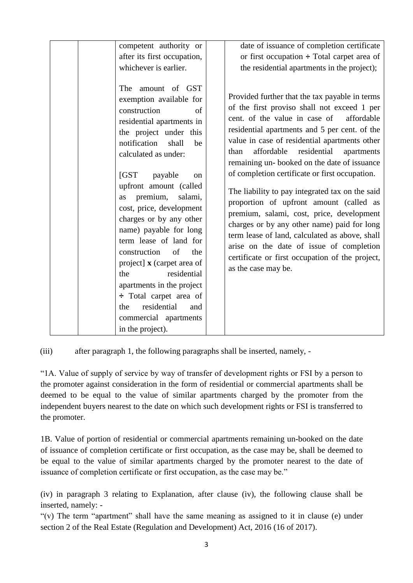| competent authority or<br>after its first occupation,<br>whichever is earlier.<br>The<br>amount of GST<br>exemption available for<br>construction<br>of<br>residential apartments in<br>the project under this<br>notification<br>shall<br>be<br>calculated as under:<br>IGST<br>payable<br>on<br>upfront amount (called<br>premium,<br>salami,<br>as<br>cost, price, development<br>charges or by any other<br>name) payable for long<br>term lease of land for<br>construction<br>of<br>the<br>project] x (carpet area of | date of issuance of completion certificate<br>or first occupation $\div$ Total carpet area of<br>the residential apartments in the project);<br>Provided further that the tax payable in terms<br>of the first proviso shall not exceed 1 per<br>cent. of the value in case of<br>affordable<br>residential apartments and 5 per cent. of the<br>value in case of residential apartments other<br>residential<br>affordable<br>than<br>apartments<br>remaining un-booked on the date of issuance<br>of completion certificate or first occupation.<br>The liability to pay integrated tax on the said<br>proportion of upfront amount (called as<br>premium, salami, cost, price, development<br>charges or by any other name) paid for long<br>term lease of land, calculated as above, shall<br>arise on the date of issue of completion<br>certificate or first occupation of the project, |
|-----------------------------------------------------------------------------------------------------------------------------------------------------------------------------------------------------------------------------------------------------------------------------------------------------------------------------------------------------------------------------------------------------------------------------------------------------------------------------------------------------------------------------|-----------------------------------------------------------------------------------------------------------------------------------------------------------------------------------------------------------------------------------------------------------------------------------------------------------------------------------------------------------------------------------------------------------------------------------------------------------------------------------------------------------------------------------------------------------------------------------------------------------------------------------------------------------------------------------------------------------------------------------------------------------------------------------------------------------------------------------------------------------------------------------------------|
| the<br>residential<br>apartments in the project<br>÷ Total carpet area of                                                                                                                                                                                                                                                                                                                                                                                                                                                   | as the case may be.                                                                                                                                                                                                                                                                                                                                                                                                                                                                                                                                                                                                                                                                                                                                                                                                                                                                           |
| residential<br>the<br>and<br>commercial apartments<br>in the project).                                                                                                                                                                                                                                                                                                                                                                                                                                                      |                                                                                                                                                                                                                                                                                                                                                                                                                                                                                                                                                                                                                                                                                                                                                                                                                                                                                               |

(iii) after paragraph 1, the following paragraphs shall be inserted, namely, -

"1A. Value of supply of service by way of transfer of development rights or FSI by a person to the promoter against consideration in the form of residential or commercial apartments shall be deemed to be equal to the value of similar apartments charged by the promoter from the independent buyers nearest to the date on which such development rights or FSI is transferred to the promoter.

1B. Value of portion of residential or commercial apartments remaining un-booked on the date of issuance of completion certificate or first occupation, as the case may be, shall be deemed to be equal to the value of similar apartments charged by the promoter nearest to the date of issuance of completion certificate or first occupation, as the case may be."

(iv) in paragraph 3 relating to Explanation, after clause (iv), the following clause shall be inserted, namely: -

"(v) The term "apartment" shall have the same meaning as assigned to it in clause (e) under section 2 of the Real Estate (Regulation and Development) Act, 2016 (16 of 2017).